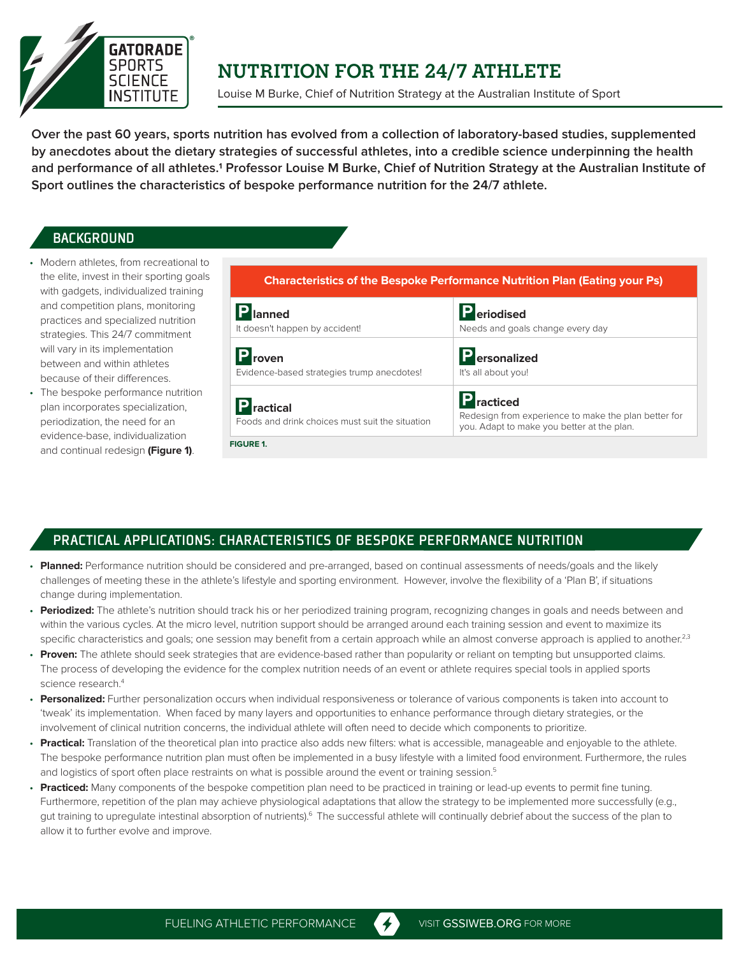

## **NUTRITION FOR THE 24/7 ATHLETE**

Louise M Burke, Chief of Nutrition Strategy at the Australian Institute of Sport

**Over the past 60 years, sports nutrition has evolved from a collection of laboratory-based studies, supplemented by anecdotes about the dietary strategies of successful athletes, into a credible science underpinning the health and performance of all athletes.1 Professor Louise M Burke, Chief of Nutrition Strategy at the Australian Institute of Sport outlines the characteristics of bespoke performance nutrition for the 24/7 athlete.** 

## **BACKGROUND**

- Modern athletes, from recreational to the elite, invest in their sporting goals with gadgets, individualized training and competition plans, monitoring practices and specialized nutrition strategies. This 24/7 commitment will vary in its implementation between and within athletes because of their differences.
- The bespoke performance nutrition plan incorporates specialization, periodization, the need for an evidence-base, individualization and continual redesign **(Figure 1)**.



## PRACTICAL APPLICATIONS: CHARACTERISTICS OF BESPOKE PERFORMANCE NUTRITION

- **Planned:** Performance nutrition should be considered and pre-arranged, based on continual assessments of needs/goals and the likely challenges of meeting these in the athlete's lifestyle and sporting environment. However, involve the flexibility of a 'Plan B', if situations change during implementation.
- **Periodized:** The athlete's nutrition should track his or her periodized training program, recognizing changes in goals and needs between and within the various cycles. At the micro level, nutrition support should be arranged around each training session and event to maximize its specific characteristics and goals; one session may benefit from a certain approach while an almost converse approach is applied to another.<sup>2,3</sup>
- Proven: The athlete should seek strategies that are evidence-based rather than popularity or reliant on tempting but unsupported claims. The process of developing the evidence for the complex nutrition needs of an event or athlete requires special tools in applied sports science research<sup>4</sup>
- **Personalized:** Further personalization occurs when individual responsiveness or tolerance of various components is taken into account to 'tweak' its implementation. When faced by many layers and opportunities to enhance performance through dietary strategies, or the involvement of clinical nutrition concerns, the individual athlete will often need to decide which components to prioritize.
- **Practical:** Translation of the theoretical plan into practice also adds new filters: what is accessible, manageable and enjoyable to the athlete. The bespoke performance nutrition plan must often be implemented in a busy lifestyle with a limited food environment. Furthermore, the rules and logistics of sport often place restraints on what is possible around the event or training session.<sup>5</sup>
- **Practiced:** Many components of the bespoke competition plan need to be practiced in training or lead-up events to permit fine tuning. Furthermore, repetition of the plan may achieve physiological adaptations that allow the strategy to be implemented more successfully (e.g., gut training to upregulate intestinal absorption of nutrients).<sup>6</sup> The successful athlete will continually debrief about the success of the plan to allow it to further evolve and improve.